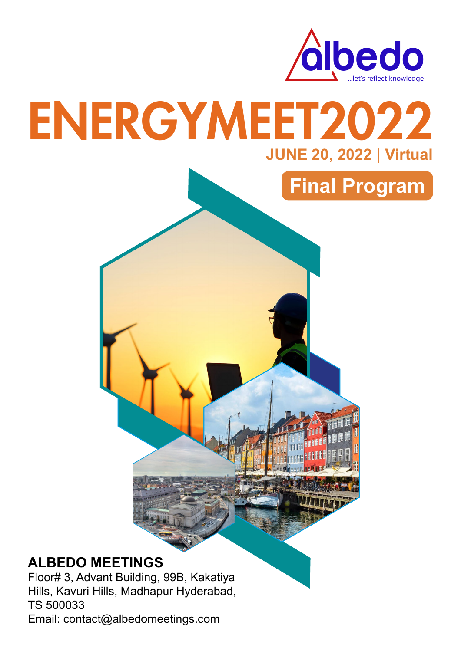

## ENERGYMEET2022 **JUNE 20, 2022 | Virtual**



#### **ALBEDO MEETINGS**

Floor# 3, Advant Building, 99B, Kakatiya Hills, Kavuri Hills, Madhapur Hyderabad, TS 500033 Email: contact@albedomeetings.com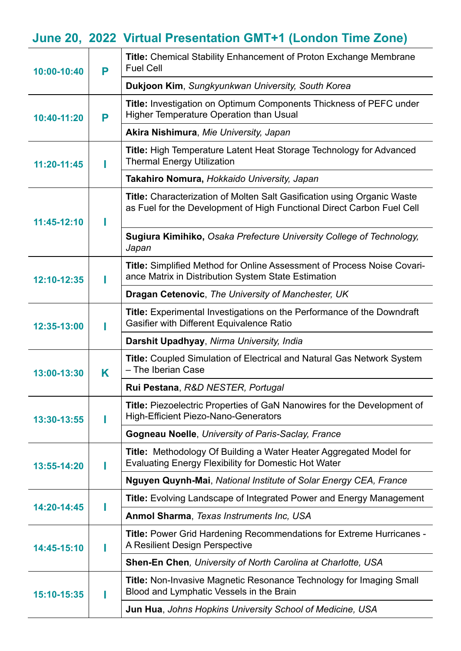### **June 20, 2022 Virtual Presentation GMT+1 (London Time Zone)**

| 10:00-10:40 | P | <b>Title:</b> Chemical Stability Enhancement of Proton Exchange Membrane<br><b>Fuel Cell</b>                                                             |
|-------------|---|----------------------------------------------------------------------------------------------------------------------------------------------------------|
|             |   | Dukjoon Kim, Sungkyunkwan University, South Korea                                                                                                        |
| 10:40-11:20 | P | Title: Investigation on Optimum Components Thickness of PEFC under<br><b>Higher Temperature Operation than Usual</b>                                     |
|             |   | Akira Nishimura, Mie University, Japan                                                                                                                   |
| 11:20-11:45 |   | <b>Title: High Temperature Latent Heat Storage Technology for Advanced</b><br><b>Thermal Energy Utilization</b>                                          |
|             |   | Takahiro Nomura, Hokkaido University, Japan                                                                                                              |
| 11:45-12:10 |   | <b>Title:</b> Characterization of Molten Salt Gasification using Organic Waste<br>as Fuel for the Development of High Functional Direct Carbon Fuel Cell |
|             |   | Sugiura Kimihiko, Osaka Prefecture University College of Technology,<br>Japan                                                                            |
| 12:10-12:35 |   | <b>Title: Simplified Method for Online Assessment of Process Noise Covari-</b><br>ance Matrix in Distribution System State Estimation                    |
|             |   | <b>Dragan Cetenovic, The University of Manchester, UK</b>                                                                                                |
| 12:35-13:00 |   | Title: Experimental Investigations on the Performance of the Downdraft<br><b>Gasifier with Different Equivalence Ratio</b>                               |
|             |   | Darshit Upadhyay, Nirma University, India                                                                                                                |
| 13:00-13:30 | K | <b>Title: Coupled Simulation of Electrical and Natural Gas Network System</b><br>- The Iberian Case                                                      |
|             |   | Rui Pestana, R&D NESTER, Portugal                                                                                                                        |
| 13:30-13:55 |   | <b>Title:</b> Piezoelectric Properties of GaN Nanowires for the Development of<br><b>High-Efficient Piezo-Nano-Generators</b>                            |
|             |   | <b>Gogneau Noelle, University of Paris-Saclay, France</b>                                                                                                |
| 13:55-14:20 |   | <b>Title:</b> Methodology Of Building a Water Heater Aggregated Model for<br><b>Evaluating Energy Flexibility for Domestic Hot Water</b>                 |
|             |   | Nguyen Quynh-Mai, National Institute of Solar Energy CEA, France                                                                                         |
| 14:20-14:45 |   | <b>Title:</b> Evolving Landscape of Integrated Power and Energy Management                                                                               |
|             |   | Anmol Sharma, Texas Instruments Inc, USA                                                                                                                 |
| 14:45-15:10 |   | <b>Title: Power Grid Hardening Recommendations for Extreme Hurricanes -</b><br>A Resilient Design Perspective                                            |
|             |   | <b>Shen-En Chen, University of North Carolina at Charlotte, USA</b>                                                                                      |
| 15:10-15:35 |   | <b>Title:</b> Non-Invasive Magnetic Resonance Technology for Imaging Small<br>Blood and Lymphatic Vessels in the Brain                                   |
|             |   | Jun Hua, Johns Hopkins University School of Medicine, USA                                                                                                |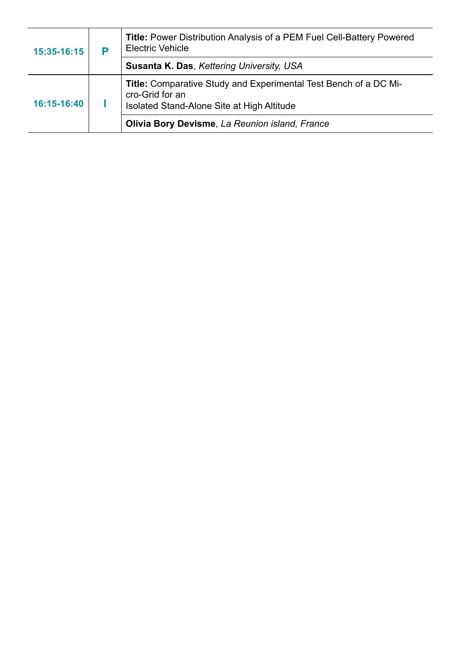| 15:35-16:15 | P | <b>Title: Power Distribution Analysis of a PEM Fuel Cell-Battery Powered</b><br><b>Electric Vehicle</b>                           |
|-------------|---|-----------------------------------------------------------------------------------------------------------------------------------|
|             |   | Susanta K. Das, Kettering University, USA                                                                                         |
| 16:15-16:40 |   | Title: Comparative Study and Experimental Test Bench of a DC Mi-<br>cro-Grid for an<br>Isolated Stand-Alone Site at High Altitude |
|             |   | Olivia Bory Devisme, La Reunion island, France                                                                                    |